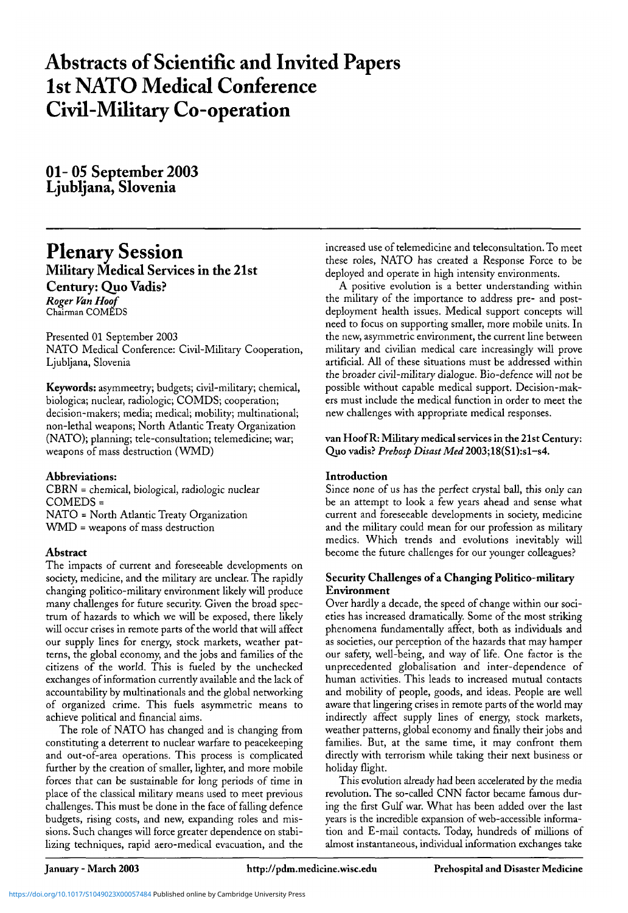# **Abstracts of Scientific and Invited Papers 1st NATO Medical Conference Civil-Military Co-operation**

01- 05 September 2003 Ljubljana, Slovenia

# **Plenary Session** Military Medical Services in the 21st Century: Quo Vadis? *Roger Van Hoof* Chairman COMEDS

Presented 01 September 2003

NATO Medical Conference: Civil-Military Cooperation, Ljubljana, Slovenia

**Keywords:** asymmeetry; budgets; civil-military; chemical, biologica; nuclear, radiologic; COMDS; cooperation; decision-makers; media; medical; mobility; multinational; non-lethal weapons; North Atlantic Treaty Organization (NATO); planning; tele-consultation; telemedicine; war; weapons of mass destruction (WMD)

# **Abbreviations:**

CBRN = chemical, biological, radiologic nuclear COMEDS = NATO = North Atlantic Treaty Organization WMD = weapons of mass destruction

# **Abstract**

The impacts of current and foreseeable developments on society, medicine, and the military are unclear. The rapidly changing politico-military environment likely will produce many challenges for future security. Given the broad spectrum of hazards to which we will be exposed, there likely will occur crises in remote parts of the world that will affect our supply lines for energy, stock markets, weather patterns, the global economy, and the jobs and families of the citizens of the world. This is fueled by the unchecked exchanges of information currently available and the lack of accountability by multinationals and the global networking of organized crime. This fuels asymmetric means to achieve political and financial aims.

The role of NATO has changed and is changing from constituting a deterrent to nuclear warfare to peacekeeping and out-of-area operations. This process is complicated further by the creation of smaller, lighter, and more mobile forces that can be sustainable for long periods of time in place of the classical military means used to meet previous challenges. This must be done in the face of falling defence budgets, rising costs, and new, expanding roles and missions. Such changes will force greater dependence on stabilizing techniques, rapid aero-medical evacuation, and the increased use of telemedicine and teleconsultation. To meet these roles, NATO has created a Response Force to be deployed and operate in high intensity environments.

A positive evolution is a better understanding within the military of the importance to address pre- and postdeployment health issues. Medical support concepts will need to focus on supporting smaller, more mobile units. In the new, asymmetric environment, the current line between military and civilian medical care increasingly will prove artificial. All of these situations must be addressed within the broader civil-military dialogue. Bio-defence will not be possible without capable medical support. Decision-makers must include the medical function in order to meet the new challenges with appropriate medical responses.

## **van Hoof R: Military medical services in the 21st Century:** Quo vadis? Prehosp Disast Med 2003;18(S1):s1-s4.

## **Introduction**

Since none of us has the perfect crystal ball, this only can be an attempt to look a few years ahead and sense what current and foreseeable developments in society, medicine and the military could mean for our profession as military medics. Which trends and evolutions inevitably will become the future challenges for our younger colleagues?

# **Security Challenges of a Changing Politico-military Environment**

Over hardly a decade, the speed of change within our societies has increased dramatically. Some of the most striking phenomena fundamentally affect, both as individuals and as societies, our perception of the hazards that may hamper our safety, well-being, and way of life. One factor is the unprecedented globalisation and inter-dependence of human activities. This leads to increased mutual contacts and mobility of people, goods, and ideas. People are well aware that lingering crises in remote parts of the world may indirectly affect supply lines of energy, stock markets, weather patterns, global economy and finally their jobs and families. But, at the same time, it may confront them directly with terrorism while taking their next business or holiday flight.

This evolution already had been accelerated by the media revolution. The so-called CNN factor became famous during the first Gulf war. What has been added over the last years is the incredible expansion of web-accessible information and E-mail contacts. Today, hundreds of millions of almost instantaneous, individual information exchanges take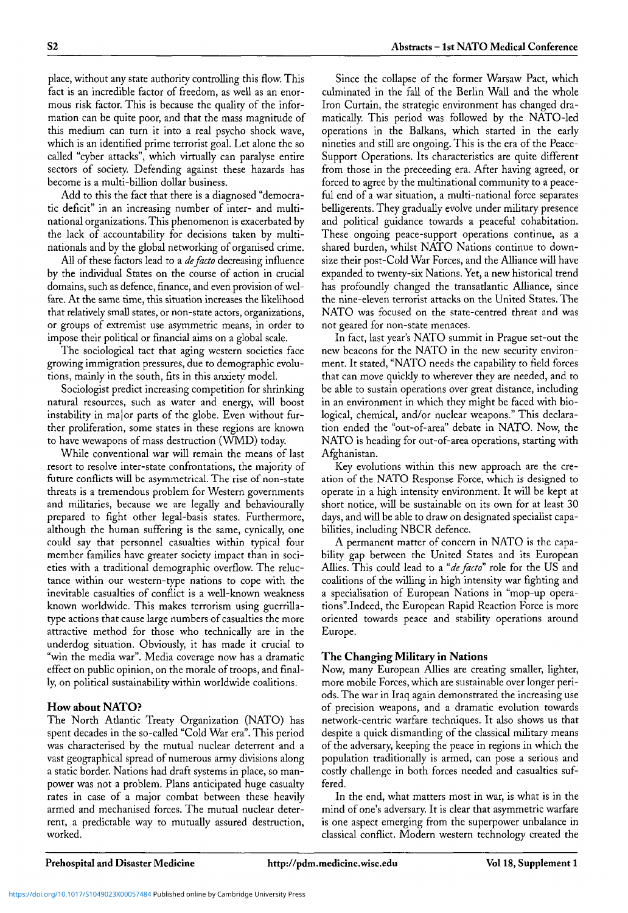place, without any state authority controlling this flow. This fact is an incredible factor of freedom, as well as an enormous risk factor. This is because the quality of the information can be quite poor, and that the mass magnitude of this medium can turn it into a real psycho shock wave, which is an identified prime terrorist goal. Let alone the so called "cyber attacks", which virtually can paralyse entire sectors of society. Defending against these hazards has become is a multi-billion dollar business.

Add to this the fact that there is a diagnosed "democratic deficit" in an increasing number of inter- and multinational organizations. This phenomenon is exacerbated by the lack of accountability for decisions taken by multinationals and by the global networking of organised crime.

All of these factors lead to a *de facto* decreasing influence by the individual States on the course of action in crucial domains, such as defence, finance, and even provision of welfare. At the same time, this situation increases the likelihood that relatively small states, or non-state actors, organizations, or groups of extremist use asymmetric means, in order to impose their political or financial aims on a global scale.

The sociological tact that aging western societies face growing immigration pressures, due to demographic evolutions, mainly in the south, fits in this anxiety model.

Sociologist predict increasing competition for shrinking natural resources, such as water and energy, will boost instability in ma|or parts of the globe. Even without further proliferation, some states in these regions are known to have wewapons of mass destruction (WMD) today.

While conventional war will remain the means of last resort to resolve inter-state confrontations, the majority of future conflicts will be asymmetrical. The rise of non-state threats is a tremendous problem for Western governments and militaries, because we are legally and behaviourally prepared to fight other legal-basis states. Furthermore, although the human suffering is the same, cynically, one could say that personnel casualties within typical four member families have greater society impact than in societies with a traditional demographic overflow. The reluctance within our western-type nations to cope with the inevitable casualties of conflict is a well-known weakness known worldwide. This makes terrorism using guerrillatype actions that cause large numbers of casualties the more attractive method for those who technically are in the underdog situation. Obviously, it has made it crucial to "win the media war". Media coverage now has a dramatic effect on public opinion, on the morale of troops, and finally, on political sustainability within worldwide coalitions.

## **How about NATO?**

The North Atlantic Treaty Organization (NATO) has spent decades in the so-called "Cold War era". This period was characterised by the mutual nuclear deterrent and a vast geographical spread of numerous army divisions along a static border. Nations had draft systems in place, so manpower was not a problem. Plans anticipated huge casualty rates in case of a major combat between these heavily armed and mechanised forces. The mutual nuclear deterrent, a predictable way to mutually assured destruction, worked.

Since the collapse of the former Warsaw Pact, which culminated in the fall of the Berlin Wall and the whole Iron Curtain, the strategic environment has changed dramatically. This period was followed by the NATO-led operations in the Balkans, which started in the early nineties and still are ongoing. This is the era of the Peace-Support Operations. Its characteristics are quite different from those in the preceeding era. After having agreed, or forced to agree by the multinational community to a peaceful end of a war situation, a multi-national force separates belligerents. They gradually evolve under military presence and political guidance towards a peaceful cohabitation. These ongoing peace-support operations continue, as a shared burden, whilst NATO Nations continue to downsize their post-Cold War Forces, and the Alliance will have expanded to twenty-six Nations. Yet, a new historical trend has profoundly changed the transatlantic Alliance, since the nine-eleven terrorist attacks on the United States. The NATO was focused on the state-centred threat and was not geared for non-state menaces.

In fact, last year's NATO summit in Prague set-out the new beacons for the NATO in the new security environment. It stated, "NATO needs the capability to field forces that can move quickly to wherever they are needed, and to be able to sustain operations over great distance, including in an environment in which they might be faced with biological, chemical, and/or nuclear weapons." This declaration ended the "out-of-area" debate in NATO. Now, the NATO is heading for out-of-area operations, starting with Afghanistan.

Key evolutions within this new approach are the creation of the NATO Response Force, which is designed to operate in a high intensity environment. It will be kept at short notice, will be sustainable on its own for at least 30 days, and will be able to draw on designated specialist capabilities, including NBCR defence.

A permanent matter of concern in NATO is the capability gap between the United States and its European Allies. This could lead to a *"de facto"* role for the US and coalitions of the willing in high intensity war fighting and a specialisation of European Nations in "mop-up operations".Indeed, the European Rapid Reaction Force is more oriented towards peace and stability operations around Europe.

#### **The Changing Military in Nations**

Now, many European Allies are creating smaller, lighter, more mobile Forces, which are sustainable over longer periods. The war in Iraq again demonstrated the increasing use of precision weapons, and a dramatic evolution towards network-centric warfare techniques. It also shows us that despite a quick dismantling of the classical military means of the adversary, keeping the peace in regions in which the population traditionally is armed, can pose a serious and costly challenge in both forces needed and casualties suffered.

In the end, what matters most in war, is what is in the mind of one's adversary. It is clear that asymmetric warfare is one aspect emerging from the superpower unbalance in classical conflict. Modern western technology created the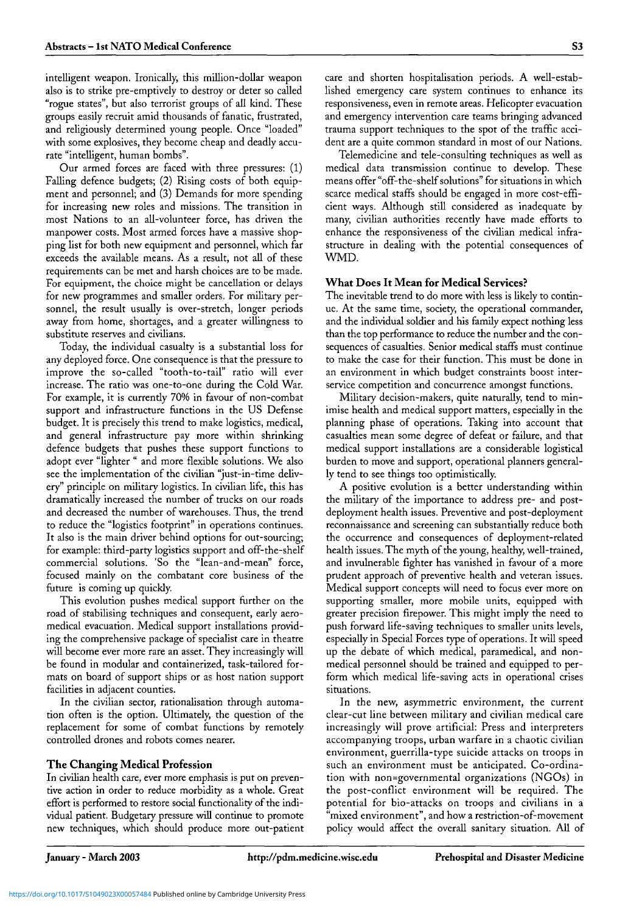intelligent weapon. Ironically, this million-dollar weapon also is to strike pre-emptively to destroy or deter so called "rogue states", but also terrorist groups of all kind. These groups easily recruit amid thousands of fanatic, frustrated, and religiously determined young people. Once "loaded" with some explosives, they become cheap and deadly accurate "intelligent, human bombs".

Our armed forces are faced with three pressures: (1) Falling defence budgets; (2) Rising costs of both equipment and personnel; and (3) Demands for more spending for increasing new roles and missions. The transition in most Nations to an all-volunteer force, has driven the manpower costs. Most armed forces have a massive shopping list for both new equipment and personnel, which far exceeds the available means. As a result, not all of these requirements can be met and harsh choices are to be made. For equipment, the choice might be cancellation or delays for new programmes and smaller orders. For military personnel, the result usually is over-stretch, longer periods away from home, shortages, and a greater willingness to substitute reserves and civilians.

Today, the individual casualty is a substantial loss for any deployed force. One consequence is that the pressure to improve the so-called "tooth-to-tail" ratio will ever increase. The ratio was one-to-one during the Cold War. For example, it is currently 70% in favour of non-combat support and infrastructure functions in the US Defense budget. It is precisely this trend to make logistics, medical, and general infrastructure pay more within shrinking defence budgets that pushes these support functions to adopt ever "lighter " and more flexible solutions. We also see the implementation of the civilian "just-in-time delivery" principle on military logistics. In civilian life, this has dramatically increased the number of trucks on our roads and decreased the number of warehouses. Thus, the trend to reduce the "logistics footprint" in operations continues. It also is the main driver behind options for out-sourcing; for example: third-party logistics support and off-the-shelf commercial solutions. 'So the "lean-and-mean" force, focused mainly on the combatant core business of the future is coming up quickly.

This evolution pushes medical support further on the road of stabilising techniques and consequent, early aeromedical evacuation. Medical support installations providing the comprehensive package of specialist care in theatre will become ever more rare an asset. They increasingly will be found in modular and containerized, task-tailored formats on board of support ships or as host nation support facilities in adjacent counties.

In the civilian sector, rationalisation through automation often is the option. Ultimately, the question of the replacement for some of combat functions by remotely controlled drones and robots comes nearer.

## **The Changing Medical Profession**

In civilian health care, ever more emphasis is put on preventive action in order to reduce morbidity as a whole. Great effort is performed to restore social functionality of the individual patient. Budgetary pressure will continue to promote new techniques, which should produce more out-patient care and shorten hospitalisation periods. A well-established emergency care system continues to enhance its responsiveness, even in remote areas. Helicopter evacuation and emergency intervention care teams bringing advanced trauma support techniques to the spot of the traffic accident are a quite common standard in most of our Nations.

Telemedicine and tele-consulting techniques as well as medical data transmission continue to develop. These means offer "off-the-shelf solutions" for situations in which scarce medical staffs should be engaged in more cost-efficient ways. Although still considered as inadequate by many, civilian authorities recently have made efforts to enhance the responsiveness of the civilian medical infrastructure in dealing with the potential consequences of WMD.

#### **What Does It Mean for Medical Services?**

The inevitable trend to do more with less is likely to continue. At the same time, society, the operational commander, and the individual soldier and his family expect nothing less than the top performance to reduce the number and the consequences of casualties. Senior medical staffs must continue to make the case for their function. This must be done in an environment in which budget constraints boost interservice competition and concurrence amongst functions.

Military decision-makers, quite naturally, tend to minimise health and medical support matters, especially in the planning phase of operations. Taking into account that casualties mean some degree of defeat or failure, and that medical support installations are a considerable logistical burden to move and support, operational planners generally tend to see things too optimistically.

A positive evolution is a better understanding within the military of the importance to address pre- and postdeployment health issues. Preventive and post-deployment reconnaissance and screening can substantially reduce both the occurrence and consequences of deployment-related health issues. The myth of the young, healthy, well-trained, and invulnerable fighter has vanished in favour of a more prudent approach of preventive health and veteran issues. Medical support concepts will need to focus ever more on supporting smaller, more mobile units, equipped with greater precision firepower. This might imply the need to push forward life-saving techniques to smaller units levels, especially in Special Forces type of operations. It will speed up the debate of which medical, paramedical, and nonmedical personnel should be trained and equipped to perform which medical life-saving acts in operational crises situations.

In the new, asymmetric environment, the current clear-cut line between military and civilian medical care increasingly will prove artificial: Press and interpreters accompanying troops, urban warfare in a chaotic civilian environment, guerrilla-type suicide attacks on troops in such an environment must be anticipated. Co-ordination with non=governmental organizations (NGOs) in the post-conflict environment will be required. The potential for bio-attacks on troops and civilians in a "mixed environment", and how a restriction-of-movement policy would affect the overall sanitary situation. All of